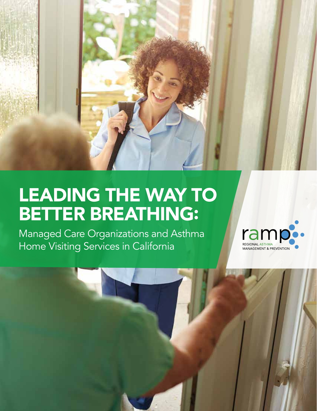

# LEADING THE WAY TO BETTER BREATHING:

Managed Care Organizations and Asthma Home Visiting Services in California

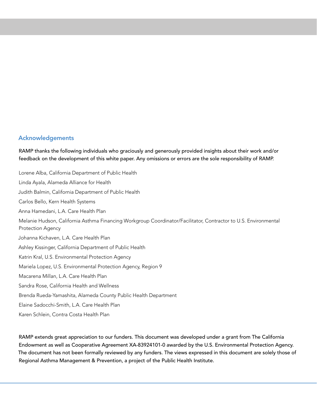#### Acknowledgements

RAMP thanks the following individuals who graciously and generously provided insights about their work and/or feedback on the development of this white paper. Any omissions or errors are the sole responsibility of RAMP.

Lorene Alba, California Department of Public Health Linda Ayala, Alameda Alliance for Health Judith Balmin, California Department of Public Health Carlos Bello, Kern Health Systems Anna Hamedani, L.A. Care Health Plan Melanie Hudson, California Asthma Financing Workgroup Coordinator/Facilitator, Contractor to U.S. Environmental Protection Agency Johanna Kichaven, L.A. Care Health Plan Ashley Kissinger, California Department of Public Health Katrin Kral, U.S. Environmental Protection Agency Mariela Lopez, U.S. Environmental Protection Agency, Region 9 Macarena Millan, L.A. Care Health Plan Sandra Rose, California Health and Wellness Brenda Rueda-Yamashita, Alameda County Public Health Department Elaine Sadocchi-Smith, L.A. Care Health Plan Karen Schlein, Contra Costa Health Plan

RAMP extends great appreciation to our funders. This document was developed under a grant from The California Endowment as well as Cooperative Agreement XA-83924101-0 awarded by the U.S. Environmental Protection Agency. The document has not been formally reviewed by any funders. The views expressed in this document are solely those of Regional Asthma Management & Prevention, a project of the Public Health Institute.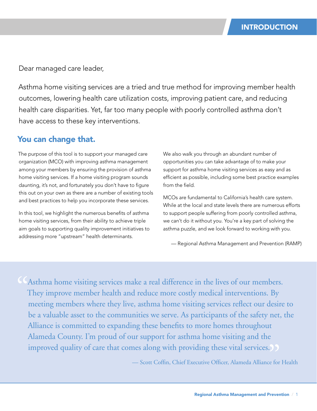Dear managed care leader,

Asthma home visiting services are a tried and true method for improving member health outcomes, lowering health care utilization costs, improving patient care, and reducing health care disparities. Yet, far too many people with poorly controlled asthma don't have access to these key interventions.

### You can change that.

The purpose of this tool is to support your managed care organization (MCO) with improving asthma management among your members by ensuring the provision of asthma home visiting services. If a home visiting program sounds daunting, it's not, and fortunately you don't have to figure this out on your own as there are a number of existing tools and best practices to help you incorporate these services.

In this tool, we highlight the numerous benefits of asthma home visiting services, from their ability to achieve triple aim goals to supporting quality improvement initiatives to addressing more "upstream" health determinants.

We also walk you through an abundant number of opportunities you can take advantage of to make your support for asthma home visiting services as easy and as efficient as possible, including some best practice examples from the field.

MCOs are fundamental to California's health care system. While at the local and state levels there are numerous efforts to support people suffering from poorly controlled asthma, we can't do it without you. You're a key part of solving the asthma puzzle, and we look forward to working with you.

— Regional Asthma Management and Prevention (RAMP)

External home visiting services make a real difference in the lives of our members.<br>They improve member health and reduce more costly medical interventions. By<br>meeting members where they live, asthma home visiting services They improve member health and reduce more costly medical interventions. By meeting members where they live, asthma home visiting services reflect our desire to be a valuable asset to the communities we serve. As participants of the safety net, the Alliance is committed to expanding these benefits to more homes throughout Alameda County. I'm proud of our support for asthma home visiting and the improved quality of care that comes along with providing these vital services.<br>
— Scott Coffin, Chief Executive Officer, Alameda Alliance for

— Scott Coffin, Chief Executive Officer, Alameda Alliance for Health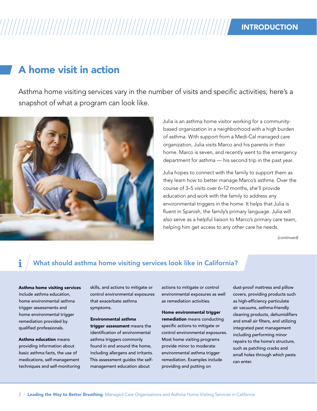# INTRODUCTION

# A home visit in action

Asthma home visiting services vary in the number of visits and specific activities; here's a snapshot of what a program can look like.



Julia is an asthma home visitor working for a communitybased organization in a neighborhood with a high burden of asthma. With support from a Medi-Cal managed care organization, Julia visits Marco and his parents in their home. Marco is seven, and recently went to the emergency department for asthma — his second trip in the past year.

Julia hopes to connect with the family to support them as they learn how to better manage Marco's asthma. Over the course of 3–5 visits over 6–12 months, she'll provide education and work with the family to address any environmental triggers in the home. It helps that Julia is fluent in Spanish, the family's primary language. Julia will also serve as a helpful liaison to Marco's primary care team, helping him get access to any other care he needs.

*(continued)*

### What should asthma home visiting services look like in California?

Asthma home visiting services include asthma education, home environmental asthma trigger assessments and home environmental trigger remediation provided by qualified professionals.

Asthma education means providing information about basic asthma facts, the use of medications, self-management techniques and self-monitoring

skills, and actions to mitigate or control environmental exposures that exacerbate asthma symptoms.

Environmental asthma trigger assessment means the identification of environmental asthma triggers commonly found in and around the home, including allergens and irritants. This assessment guides the selfmanagement education about

actions to mitigate or control environmental exposures as well as remediation activities.

Home environmental trigger remediation means conducting specific actions to mitigate or control environmental exposures. Most home visiting programs provide minor to moderate environmental asthma trigger remediation. Examples include providing and putting on

dust-proof mattress and pillow covers, providing products such as high-efficiency particulate air vacuums, asthma-friendly cleaning products, dehumidifiers and small air filters, and utilizing integrated pest management including performing minor repairs to the home's structure, such as patching cracks and small holes through which pests can enter.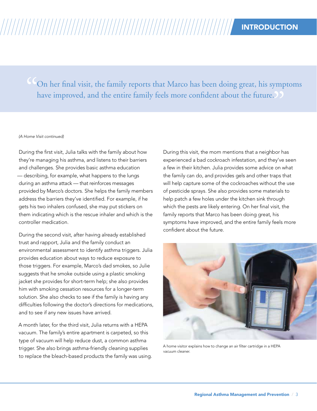On her final visit, the family reports that Marco has been doing great, his symptoms " have improved, and the entire family feels more confident about the future.)

#### *(A Home Visit continued)*

During the first visit, Julia talks with the family about how they're managing his asthma, and listens to their barriers and challenges. She provides basic asthma education — describing, for example, what happens to the lungs during an asthma attack — that reinforces messages provided by Marco's doctors. She helps the family members address the barriers they've identified. For example, if he gets his two inhalers confused, she may put stickers on them indicating which is the rescue inhaler and which is the controller medication.

During the second visit, after having already established trust and rapport, Julia and the family conduct an environmental assessment to identify asthma triggers. Julia provides education about ways to reduce exposure to those triggers. For example, Marco's dad smokes, so Julie suggests that he smoke outside using a plastic smoking jacket she provides for short-term help; she also provides him with smoking cessation resources for a longer-term solution. She also checks to see if the family is having any difficulties following the doctor's directions for medications, and to see if any new issues have arrived.

A month later, for the third visit, Julia returns with a HEPA vacuum. The family's entire apartment is carpeted, so this type of vacuum will help reduce dust, a common asthma trigger. She also brings asthma-friendly cleaning supplies to replace the bleach-based products the family was using.

During this visit, the mom mentions that a neighbor has experienced a bad cockroach infestation, and they've seen a few in their kitchen. Julia provides some advice on what the family can do, and provides gels and other traps that will help capture some of the cockroaches without the use of pesticide sprays. She also provides some materials to help patch a few holes under the kitchen sink through which the pests are likely entering. On her final visit, the family reports that Marco has been doing great, his symptoms have improved, and the entire family feels more confident about the future.



A home visitor explains how to change an air filter cartridge in a HEPA vacuum cleaner.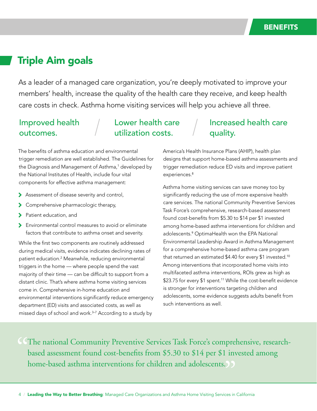# Triple Aim goals

As a leader of a managed care organization, you're deeply motivated to improve your members' health, increase the quality of the health care they receive, and keep health care costs in check. Asthma home visiting services will help you achieve all three.

### Improved health outcomes.

### Lower health care utilization costs.

### The benefits of asthma education and environmental trigger remediation are well established. The Guidelines for the Diagnosis and Management of Asthma,<sup>1</sup> developed by the National Institutes of Health, include four vital components for effective asthma management:

- > Assessment of disease severity and control,
- > Comprehensive pharmacologic therapy,
- > Patient education, and
- 7 Environmental control measures to avoid or eliminate factors that contribute to asthma onset and severity.

While the first two components are routinely addressed during medical visits, evidence indicates declining rates of patient education.<sup>2</sup> Meanwhile, reducing environmental triggers in the home — where people spend the vast majority of their time — can be difficult to support from a distant clinic. That's where asthma home visiting services come in. Comprehensive in-home education and environmental interventions significantly reduce emergency department (ED) visits and associated costs, as well as missed days of school and work.<sup>3-7</sup> According to a study by

### Increased health care quality.

America's Health Insurance Plans (AHIP), health plan designs that support home-based asthma assessments and trigger remediation reduce ED visits and improve patient experiences.<sup>8</sup>

Asthma home visiting services can save money too by significantly reducing the use of more expensive health care services. The national Community Preventive Services Task Force's comprehensive, research-based assessment found cost-benefits from \$5.30 to \$14 per \$1 invested among home-based asthma interventions for children and adolescents.<sup>9</sup> OptimaHealth won the EPA National Environmental Leadership Award in Asthma Management for a comprehensive home-based asthma care program that returned an estimated \$4.40 for every \$1 invested.<sup>10</sup> Among interventions that incorporated home visits into multifaceted asthma interventions, ROIs grew as high as \$23.75 for every \$1 spent.<sup>11</sup> While the cost-benefit evidence is stronger for interventions targeting children and adolescents, some evidence suggests adults benefit from such interventions as well.

CCThe national Community Preventive Services Task Force's comprehensive, research-<br>based assessment found cost-benefits from \$5.30 to \$14 per \$1 invested among<br>home-based asthma interventions for children and adolescents. based assessment found cost-benefits from \$5.30 to \$14 per \$1 invested among home-based asthma interventions for children and adolescents.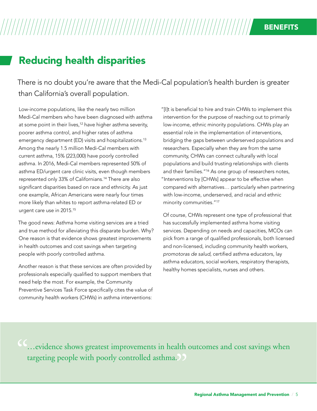# Reducing health disparities

There is no doubt you're aware that the Medi-Cal population's health burden is greater than California's overall population.

Low-income populations, like the nearly two million Medi-Cal members who have been diagnosed with asthma at some point in their lives,<sup>12</sup> have higher asthma severity, poorer asthma control, and higher rates of asthma emergency department (ED) visits and hospitalizations.<sup>13</sup> Among the nearly 1.5 million Medi-Cal members with current asthma, 15% (223,000) have poorly controlled asthma. In 2016, Medi-Cal members represented 50% of asthma ED/urgent care clinic visits, even though members represented only 33% of Californians.14 There are also significant disparities based on race and ethnicity. As just one example, African Americans were nearly four times more likely than whites to report asthma-related ED or urgent care use in 2015.<sup>15</sup>

The good news: Asthma home visiting services are a tried and true method for alleviating this disparate burden. Why? One reason is that evidence shows greatest improvements in health outcomes and cost savings when targeting people with poorly controlled asthma.

Another reason is that these services are often provided by professionals especially qualified to support members that need help the most. For example, the Community Preventive Services Task Force specifically cites the value of community health workers (CHWs) in asthma interventions:

"[I]t is beneficial to hire and train CHWs to implement this intervention for the purpose of reaching out to primarily low-income, ethnic minority populations. CHWs play an essential role in the implementation of interventions, bridging the gaps between underserved populations and researchers. Especially when they are from the same community, CHWs can connect culturally with local populations and build trusting relationships with clients and their families."16 As one group of researchers notes, "Interventions by [CHWs] appear to be effective when compared with alternatives… particularly when partnering with low-income, underserved, and racial and ethnic minority communities."<sup>17</sup>

Of course, CHWs represent one type of professional that has successfully implemented asthma home visiting services. Depending on needs and capacities, MCOs can pick from a range of qualified professionals, both licensed and non-licensed, including community health workers, *promotoras de salud*, certified asthma educators, lay asthma educators, social workers, respiratory therapists, healthy homes specialists, nurses and others.

…evidence shows greatest improvements in health outcomes and cost savings when " targeting people with poorly controlled asthma. $\Box$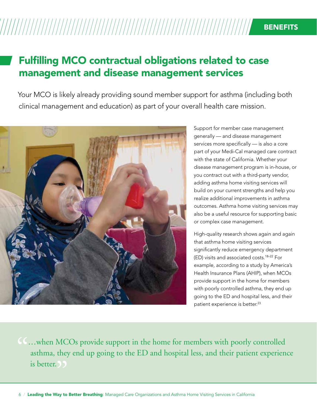# Fulfilling MCO contractual obligations related to case management and disease management services

Your MCO is likely already providing sound member support for asthma (including both clinical management and education) as part of your overall health care mission.



Support for member case management generally — and disease management services more specifically — is also a core part of your Medi-Cal managed care contract with the state of California. Whether your disease management program is in-house, or you contract out with a third-party vendor, adding asthma home visiting services will build on your current strengths and help you realize additional improvements in asthma outcomes. Asthma home visiting services may also be a useful resource for supporting basic or complex case management.

High-quality research shows again and again that asthma home visiting services significantly reduce emergency department (ED) visits and associated costs.18–22 For example, according to a study by America's Health Insurance Plans (AHIP), when MCOs provide support in the home for members with poorly controlled asthma, they end up going to the ED and hospital less, and their patient experience is better.<sup>23</sup>

**CC...** when MCOs provide support in the home for members with poorly controlled asthma, they end up going to the ED and hospital less, and their patient experiencies better. asthma, they end up going to the ED and hospital less, and their patient experience is better. 
(*)*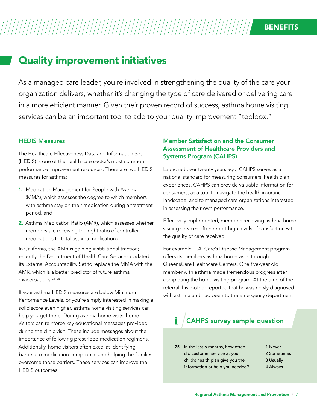# Quality improvement initiatives

As a managed care leader, you're involved in strengthening the quality of the care your organization delivers, whether it's changing the type of care delivered or delivering care in a more efficient manner. Given their proven record of success, asthma home visiting services can be an important tool to add to your quality improvement "toolbox."

### HEDIS Measures

The Healthcare Effectiveness Data and Information Set (HEDIS) is one of the health care sector's most common performance improvement resources. There are two HEDIS measures for asthma:

- 1. Medication Management for People with Asthma (MMA), which assesses the degree to which members with asthma stay on their medication during a treatment period, and
- 2. Asthma Medication Ratio (AMR), which assesses whether members are receiving the right ratio of controller medications to total asthma medications.

In California, the AMR is gaining institutional traction; recently the Department of Health Care Services updated its External Accountability Set to replace the MMA with the AMR, which is a better predictor of future asthma exacerbations.24–26

If your asthma HEDIS measures are below Minimum Performance Levels, or you're simply interested in making a solid score even higher, asthma home visiting services can help you get there. During asthma home visits, home visitors can reinforce key educational messages provided during the clinic visit. These include messages about the importance of following prescribed medication regimens. Additionally, home visitors often excel at identifying barriers to medication compliance and helping the families overcome those barriers. These services can improve the HEDIS outcomes.

### Member Satisfaction and the Consumer Assessment of Healthcare Providers and Systems Program (CAHPS)

Launched over twenty years ago, CAHPS serves as a national standard for measuring consumers' health plan experiences. CAHPS can provide valuable information for consumers, as a tool to navigate the health insurance landscape, and to managed care organizations interested in assessing their own performance.

Effectively implemented, members receiving asthma home visiting services often report high levels of satisfaction with the quality of care received.

For example, L.A. Care's Disease Management program offers its members asthma home visits through QueensCare Healthcare Centers. One five-year old member with asthma made tremendous progress after completing the home visiting program. At the time of the referral, his mother reported that he was newly diagnosed with asthma and had been to the emergency department

#### i CAHPS survey sample question

25. In the last 6 months, how often did customer service at your child's health plan give you the information or help you needed?

- 1 Never 2 Sometimes 3 Usually
- 4 Always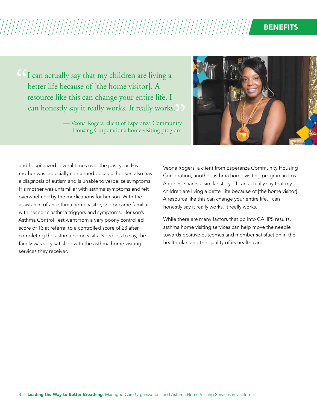### **BENEFITS**

I can actually say that my children are living a better life because of [the home visitor]. A resource like this can change your entire life. I  $\begin{bmatrix} C & 1 \\ 1 & 1 \end{bmatrix}$ 

can honestly say it really works. It really works.<br>
— Veona Rogers, client of Esperanza Community<br>
Housing Corporation's home visiting program — Veona Rogers, client of Esperanza Community Housing Corporation's home visiting program



and hospitalized several times over the past year. His mother was especially concerned because her son also has a diagnosis of autism and is unable to verbalize symptoms. His mother was unfamiliar with asthma symptoms and felt overwhelmed by the medications for her son. With the assistance of an asthma home visitor, she became familiar with her son's asthma triggers and symptoms. Her son's Asthma Control Test went from a very poorly controlled score of 13 at referral to a controlled score of 23 after completing the asthma home visits. Needless to say, the family was very satisfied with the asthma home visiting services they received.

Veona Rogers, a client from Esperanza Community Housing Corporation, another asthma home visiting program in Los Angeles, shares a similar story: "I can actually say that my children are living a better life because of [the home visitor]. A resource like this can change your entire life. I can honestly say it really works. It really works."

While there are many factors that go into CAHPS results, asthma home visiting services can help move the needle towards positive outcomes and member satisfaction in the health plan and the quality of its health care.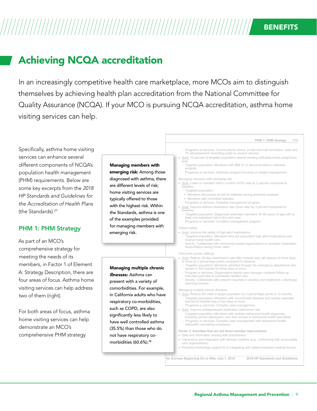# Achieving NCQA accreditation

In an increasingly competitive health care marketplace, more MCOs aim to distinguish themselves by achieving health plan accreditation from the National Committee for Quality Assurance (NCQA). If your MCO is pursuing NCQA accreditation, asthma home visiting services can help.

#### *PHM 1: PHM Strategy 113*

Specifically, asthma home visiting services can enhance several different components of NCQA's population health management (PHM) requirements. Below are some key excerpts from the *2018 HP Standards and Guidelines for the Accreditation of Health Plans* (the Standards).<sup>27</sup>

### PHM 1: PHM Strategy

As part of an MCO's comprehensive strategy for meeting the needs of its members, in Factor 1 of Element A: Strategy Description, there are four areas of focus. Asthma home visiting services can help address two of them (right).

For both areas of focus, asthma home visiting services can help demonstrate an MCO's comprehensive PHM strategy.

#### Managing members with

emerging risk: Among those diagnosed with asthma, there are different levels of risk; home visiting services are typically offered to those with the highest risk. Within the Standards, asthma is one of the examples provided for managing members with emerging risk.

#### Managing multiple chronic illnesses: Asthma can

present with a variety of comorbidities. For example, in California adults who have respiratory co-morbidities, such as COPD, are also significantly less likely to have well controlled asthma (35.5%) than those who do not have respiratory comorbidities (60.6%).28

- Programs or services: Community flu clinics, e-mail and mail reminders, radio and TV advertisement reminding public to receive vaccine.
- Goal: 10 percent of targeted population reports meeting self-determined weight-loss goal.
	- Targeted population: Members with BMI 27 or above enrolled in wellness program.
- Programs or services: Wellness program focusing on weight management.

#### *Managing members with emerging risk*

- Goal: Lower or maintain HbA1c control <8.0% rate by 2 percent compared to baseline.
	- Targeted population:
	- § Members discovered at risk for diabetes during predictive analysis. § Members with controlled diabetes.
	- Programs or services: Diabetes management program.
- Goal: Improve asthma medication ratio (total rate) by 3 percent compared to baseline.
	- Targeted population: Diagnosed asthmatic members 18–64 years of age with at least one outpatient visit in the prior year.
	- Programs or services: Condition management program.

#### *Patient safety*

- Goal: Improve the safety of high-alert medications.
	- Targeted population: Members who are prescribed high-alert medications and receive home health care.
	- Activity: Collaborate with community-based organizations to complete medication reconciliation during home visits.

*Outcomes across settings*

- Goal: Reduce 30-day readmission rate after hospital stay (all causes) of three days or more by 2 percentage points compared to baseline.
- Targeted population: Members admitted through the emergency department who remain in the hospital for three days or more.
- Program or services: Organization-based case manager conducts follow-up interview post-stay to coordinate needed care.
- Activity: Collaborate with network hospitals to develop and implement a discharge planning process.

#### *Managing multiple chronic illnesses*

- Goal: Reduce ED visits in target population by 3 percentage points in 12 months. – Targeted population: Members with uncontrolled diabetes and cardiac episodes that led to hospital stay of two days or more.
	- Programs or services: Complex case management.
- Goal: Improve antidepressant medication adherence rate.
- Targeted population: Members with multiple behavioral health diagnoses, including severe depression, who lack access to behavioral health specialists. – Programs or services: Complex case management with behavioral health
- telehealth counseling component.

*Factor 3:* **Activities that are not direct member interventions**

- Data and information sharing with practitioners.
- Interactions and integration with delivery systems (e.g., contracting with accountable care organizations).
- Providing technology support to or integrating with patient-centered medical homes.

**Effective for Surveys Beginning On or After July 1, 2018** *2018 HP Standards and Guidelines*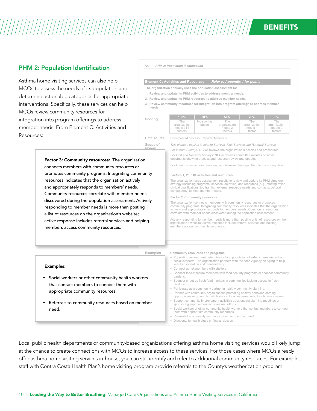### **BENEFITS**

#### PHM 2: Population Identification

Examples:

need.

Asthma home visiting services can also help MCOs to assess the needs of its population and determine actionable categories for appropriate interventions. Specifically, these services can help MCOs review community resources for integration into program offerings to address member needs. From Element C: Activities and Resources:

> **Scope of review** Factor 3: Community resources: The organization connects members with community resources or promotes community programs. Integrating community resources indicates that the organization actively and appropriately responds to members' needs. Community resources correlate with member needs

discovered during the population assessment. Actively responding to member needs is more than posting a list of resources on the organization's website; active response includes referral services and helping members access community resources.

• Social workers or other community health workers that contact members to connect them with

• Referrals to community resources based on member

appropriate community resources.

#### *120 PHM 2: Population Identification*

#### **Element C: Activities and Resources—***—Refer to Appendix 1 for points*

- **The organization annually uses the population assessment to:**
- **1. Review and update its PHM activities to address member needs.**
- **2. Review and update its PHM resources to address member needs.**
- **3. Review community resources for integration into program offerings to address member needs.**

| Scoring | 100%                                          | 80%                  | 50%                                       | 20%                                      | $0\%$                                     |
|---------|-----------------------------------------------|----------------------|-------------------------------------------|------------------------------------------|-------------------------------------------|
|         | The<br>organization<br>meets all 3<br>factors | No scoring<br>option | The<br>organization<br>meets 2<br>factors | The<br>organization<br>meets 1<br>factor | The<br>organization<br>meets 0<br>factors |

Data source Documented process, Reports, Materials

*This element applies to Interim Surveys, First Surveys and Renewal Surveys.* 

*For Interim Surveys:* NCQA reviews the organization's policies and procedures. *For First and Renewal Surveys:* NCQA reviews committee minutes or similar documents showing process and resource review and updates.

*For Interim Surveys, First Surveys, and Renewal Surveys:* Prior to the survey date.

#### **Explanation** *Factors 1, 2:* **PHM activities and resources**

The organization uses assessment results to review and update its PHM structure, strategy (including programs, services, activities) and resources (e.g., staffing ratios, clinical qualifications, job training, external resource needs and contacts, cultural competency) to meet member needs.

#### *Factor 3:* **Community resources**

The organization connects members with community resources or promotes community programs. Integrating community resources indicates that the organization actively and appropriately responds to members' needs. Community resources correlate with member needs discovered during the population assessment.

Actively responding to member needs is more than posting a list of resources on the organization's website; active response includes referral services and helping members access community resources.

#### **Examples Community resources and programs**

- Population assessment determines a high population of elderly members without social supports. The organization partners with the Area Agency on Aging to help with transportation and meal delivery.
- Connect at-risk members with shelters.
- Connect food-insecure members with food security programs or sponsor community gardens.
- **2018 HP Standards and Guidelines and Guidelines and Guidelines Beginning On or After July 1, 2018** • Sponsor or set up fresh food markets in communities lacking access to fresh produce.
	- Participate as a community partner in healthy community planning.
	- Partner with community organizations promoting healthy behavior learning opportunities (e.g., nutritional classes at local supermarkets, free fitness classes).
	- Support community improvement activities by attending planning meetings or sponsoring improvement activities and efforts.

*This element applies to Interim Surveys, First Surveys and Renewal Surveys.* 

- Social workers or other community health workers that contact members to connect them with appropriate community resources.
- Referrals to community resources based on member need.
- Discounts to health clubs or fitness classes.

Local public health departments or community-based organizations offering asthma home visiting services would likely jump **Scoring 100% 80% 50% 20% 0%** offer asthma home visiting services in-house, you can still identify and refer to additional community resources. For example, staff with Contra Costa Health Plan's home visiting program provide referrals to the County's weatherization program. at the chance to create connections with MCOs to increase access to these services. For those cases where MCOs already

**Scope of**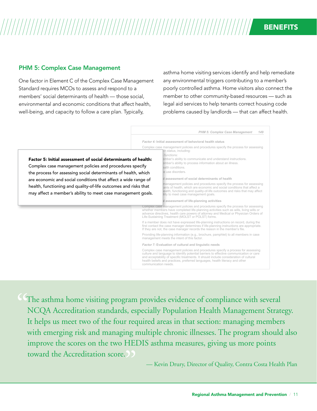### PHM 5: Complex Case Management

One factor in Element C of the Complex Case Management Standard requires MCOs to assess and respond to a members' social determinants of health — those social, environmental and economic conditions that affect health, well-being, and capacity to follow a care plan. Typically,

asthma home visiting services identify and help remediate any environmental triggers contributing to a member's poorly controlled asthma. Home visitors also connect the member to other community-based resources — such as legal aid services to help tenants correct housing code problems caused by landlords — that can affect health.

*PHM 5: Complex Case Management 149 Factor 4:* **Initial assessment of behavioral health status**  Complex case management policies and procedures specify the process for assessing Ith status, including: functions: ember's ability to communicate and understand instructions. ember's ability to process information about an illness. ealth conditions. e use disorders. *Factor 5:* **Initial assessment of social determinants of health** management policies and procedures specify the process for assessing ants of health, which are economic and social conditions that affect a ealth, functioning and quality-of-life outcomes and risks that may affect ility to meet case management goals. *Factor 6:* **Initial assessment of life-planning activities**  Complex case management policies and procedures specify the process for assessing whether members have completed life-planning activities such as wills, living wills or advance directives, health care powers of attorney and Medical or Physician Orders of Life-Sustaining Treatment (MOLST or POLST) forms. If a member does not have expressed life-planning instructions on record, during the first contact the case manager determines if life-planning instructions are appropriate. If they are not, the case manager records the reason in the member's file. Providing life-planning information (e.g., brochure, pamphlet) to all members in case management meets the intent of this factor. *Factor 7:* **Evaluation of cultural and linguistic needs**  Complex case management policies and procedures specify a process for assessing culture and language to identify potential barriers to effective communication or care and acceptability of specific treatments. It should include consideration of cultural health beliefs and practices, preferred languages, health literacy and other communication needs. Factor 5: Initial assessment of social determinants of health: Complex case management policies and procedures specify the process for assessing social determinants of health, which are economic and social conditions that affect a wide range of health, functioning and quality-of-life outcomes and risks that may affect a member's ability to meet case management goals.

**Effective for Surveys Beginning On or After July 1, 2018** *2018 HP Standards and Guidelines* The asthma home visiting program provides evidence of compliance with several NCQA Accreditation standards, especially Population Health Management Strategy. It helps us meet two of the four required areas in that section: managing members with emerging risk and managing multiple chronic illnesses. The program should also improve the scores on the two HEDIS asthma measures, giving us more points toward the Accreditation score. "

— Kevin Drury, Director of Quality, Contra Costa Health Plan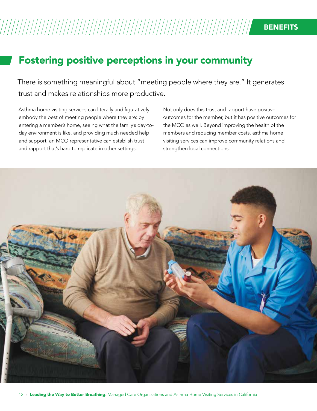# Fostering positive perceptions in your community

There is something meaningful about "meeting people where they are." It generates trust and makes relationships more productive.

Asthma home visiting services can literally and figuratively embody the best of meeting people where they are: by entering a member's home, seeing what the family's day-today environment is like, and providing much needed help and support, an MCO representative can establish trust and rapport that's hard to replicate in other settings.

Not only does this trust and rapport have positive outcomes for the member, but it has positive outcomes for the MCO as well. Beyond improving the health of the members and reducing member costs, asthma home visiting services can improve community relations and strengthen local connections.

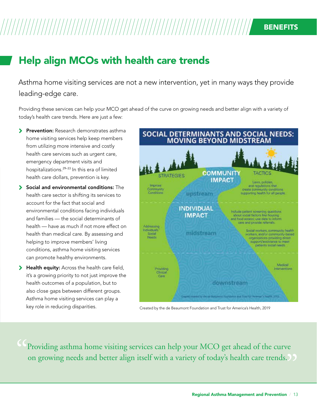# Help align MCOs with health care trends

Asthma home visiting services are not a new intervention, yet in many ways they provide leading-edge care.

Providing these services can help your MCO get ahead of the curve on growing needs and better align with a variety of today's health care trends. Here are just a few:

- **> Prevention:** Research demonstrates asthma home visiting services help keep members from utilizing more intensive and costly health care services such as urgent care, emergency department visits and hospitalizations.29–33 In this era of limited health care dollars, prevention is key.
- $\blacktriangleright$  Social and environmental conditions: The health care sector is shifting its services to account for the fact that social and environmental conditions facing individuals and families — the social determinants of health — have as much if not more effect on health than medical care. By assessing and helping to improve members' living conditions, asthma home visiting services can promote healthy environments.
- > Health equity: Across the health care field, it's a growing priority to not just improve the health outcomes of a population, but to also close gaps between different groups. Asthma home visiting services can play a key role in reducing disparities.



Created by the de Beaumont Foundation and Trust for America's Health, 2019

Providing asthma home visiting services can help your MCO get ahead of the curve " on growing needs and better align itself with a variety of today's health care trends.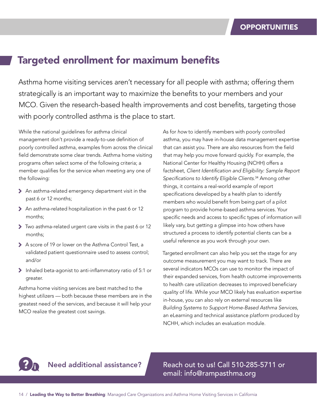## Targeted enrollment for maximum benefits

Asthma home visiting services aren't necessary for all people with asthma; offering them strategically is an important way to maximize the benefits to your members and your MCO. Given the research-based health improvements and cost benefits, targeting those with poorly controlled asthma is the place to start.

While the national guidelines for asthma clinical management don't provide a ready-to-use definition of poorly controlled asthma, examples from across the clinical field demonstrate some clear trends. Asthma home visiting programs often select some of the following criteria; a member qualifies for the service when meeting any one of the following:

- 7 An asthma-related emergency department visit in the past 6 or 12 months;
- > An asthma-related hospitalization in the past 6 or 12 months;
- 7 Two asthma-related urgent care visits in the past 6 or 12 months;
- > A score of 19 or lower on the Asthma Control Test, a validated patient questionnaire used to assess control; and/or
- 7 Inhaled beta-agonist to anti-inflammatory ratio of 5:1 or greater.

Asthma home visiting services are best matched to the highest utilizers — both because these members are in the greatest need of the services, and because it will help your MCO realize the greatest cost savings.

As for *how* to identify members with poorly controlled asthma, you may have in-house data management expertise that can assist you. There are also resources from the field that may help you move forward quickly. For example, the National Center for Healthy Housing (NCHH) offers a factsheet, *Client Identification and Eligibility: Sample Report Specifications to Identify Eligible Clients*. <sup>34</sup> Among other things, it contains a real-world example of report specifications developed by a health plan to identify members who would benefit from being part of a pilot program to provide home-based asthma services. Your specific needs and access to specific types of information will likely vary, but getting a glimpse into how others have structured a process to identify potential clients can be a useful reference as you work through your own.

Targeted enrollment can also help you set the stage for any outcome measurement you may want to track. There are several indicators MCOs can use to monitor the impact of their expanded services, from health outcome improvements to health care utilization decreases to improved beneficiary quality of life. While your MCO likely has evaluation expertise in-house, you can also rely on external resources like *Building Systems to Support Home-Based Asthma Services*, an eLearning and technical assistance platform produced by NCHH, which includes an evaluation module.



Need additional assistance? Reach out to us! Call 510-285-5711 or email: info@rampasthma.org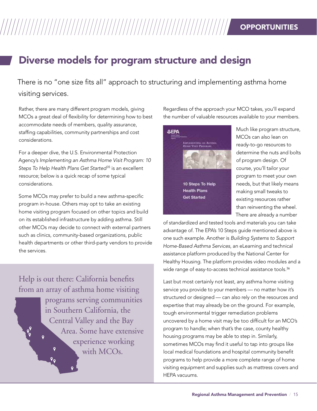### **OPPORTUNITIES**

# Diverse models for program structure and design

There is no "one size fits all" approach to structuring and implementing asthma home visiting services.

Rather, there are many different program models, giving MCOs a great deal of flexibility for determining how to best accommodate needs of members, quality assurance, staffing capabilities, community partnerships and cost considerations.

For a deeper dive, the U.S. Environmental Protection Agency's *Implementing an Asthma Home Visit Program: 10 Steps To Help Health Plans Get Started*35 is an excellent resource; below is a quick recap of some typical considerations.

Some MCOs may prefer to build a new asthma-specific program in-house. Others may opt to take an existing home visiting program focused on other topics and build on its established infrastructure by adding asthma. Still other MCOs may decide to connect with external partners such as clinics, community-based organizations, public health departments or other third-party vendors to provide the services.

Help is out there: California benefits from an array of asthma home visiting

 $P_{Q}$ 

programs serving communities in Southern California, the Central Valley and the Bay Area. Some have extensive  $\overline{Q}$ experience working  $\mathbf{o}$ with MCO<sub>s</sub>.  $\sqrt{2}$ 

Regardless of the approach your MCO takes, you'll expand the number of valuable resources available to your members.



Much like program structure, MCOs can also lean on ready-to-go resources to determine the nuts and bolts of program design. Of course, you'll tailor your program to meet your own needs, but that likely means making small tweaks to existing resources rather than reinventing the wheel. There are already a number

of standardized and tested tools and materials you can take advantage of. The EPA's 10 Steps guide mentioned above is one such example. Another is *Building Systems to Support Home-Based Asthma Services*, an eLearning and technical assistance platform produced by the National Center for Healthy Housing. The platform provides video modules and a wide range of easy-to-access technical assistance tools.<sup>36</sup>

Last but most certainly not least, any asthma home visiting service you provide to your members — no matter how it's structured or designed — can also rely on the resources and expertise that may already be on the ground. For example, tough environmental trigger remediation problems uncovered by a home visit may be too difficult for an MCO's program to handle; when that's the case, county healthy housing programs may be able to step in. Similarly, sometimes MCOs may find it useful to tap into groups like local medical foundations and hospital community benefit programs to help provide a more complete range of home visiting equipment and supplies such as mattress covers and HEPA vacuums.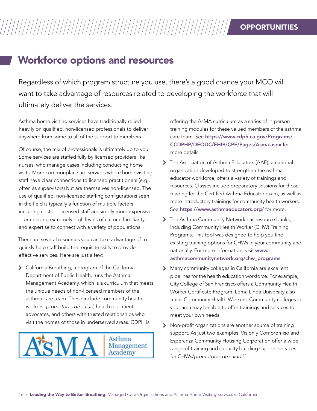### **OPPORTUNITIES**

# Workforce options and resources

Regardless of which program structure you use, there's a good chance your MCO will want to take advantage of resources related to developing the workforce that will ultimately deliver the services.

Asthma home visiting services have traditionally relied heavily on qualified, non-licensed professionals to deliver anywhere from some to all of the support to members.

Of course, the mix of professionals is ultimately up to you. Some services are staffed fully by licensed providers like nurses, who manage cases including conducting home visits. More commonplace are services where home visiting staff have clear connections to licensed practitioners (e.g., often as supervisors) but are themselves non-licensed. The use of qualified, non-licensed staffing configurations seen in the field is typically a function of multiple factors including costs — licensed staff are simply more expensive — or needing extremely high levels of cultural familiarity and expertise to connect with a variety of populations.

There are several resources you can take advantage of to quickly help staff build the requisite skills to provide effective services. Here are just a few:

7 California Breathing, a program of the California Department of Public Health, runs the Asthma Management Academy, which is a curriculum that meets the unique needs of non-licensed members of the asthma care team. These include community health workers, *promotoras de salud*, health or patient advocates, and others with trusted relationships who visit the homes of those in underserved areas. CDPH is



offering the AsMA curriculum as a series of in-person training modules for these valued members of the asthma care team. See [https://www.cdph.ca.gov/Programs/](https://www.cdph.ca.gov/Programs/CCDPHP/DEODC/EHIB/CPE/Pages/Asma.aspx) [CCDPHP/DEODC/EHIB/CPE/Pages/Asma.aspx](https://www.cdph.ca.gov/Programs/CCDPHP/DEODC/EHIB/CPE/Pages/Asma.aspx) for more details.

- 7 The Association of Asthma Educators (AAE), a national organization developed to strengthen the asthma educator workforce, offers a variety of trainings and resources. Classes include preparatory sessions for those reading for the Certified Asthma Educator exam, as well as more introductory trainings for community health workers. See <https://www.asthmaeducators.org/> for more.
- The Asthma Community Network has resource banks, including Community Health Worker (CHW) Training Programs. This tool was designed to help you find existing training options for CHWs in your community and nationally. For more information, visit [www.](www.asthmacommunitynetwork.org/chw_programs) [asthmacommunitynetwork.org/chw\\_programs](www.asthmacommunitynetwork.org/chw_programs).
- 7 Many community colleges in California are excellent pipelines for the health education workforce. For example, City College of San Francisco offers a Community Health Worker Certificate Program. Loma Linda University also trains Community Health Workers. Community colleges in your area may be able to offer trainings and services to meet your own needs.
- 7 Non-profit organizations are another source of training support. As just two examples, Vision y Compromiso and Esperanza Community Housing Corporation offer a wide range of training and capacity building support services for CHWs/*promotoras de salud*. 37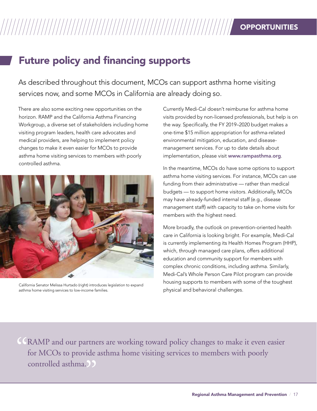# Future policy and financing supports

As described throughout this document, MCOs can support asthma home visiting services now, and some MCOs in California are already doing so.

There are also some exciting new opportunities on the horizon. RAMP and the California Asthma Financing Workgroup, a diverse set of stakeholders including home visiting program leaders, health care advocates and medical providers, are helping to implement policy changes to make it even easier for MCOs to provide asthma home visiting services to members with poorly controlled asthma.



California Senator Melissa Hurtado (right) introduces legislation to expand asthma home visiting services to low-income families.

Currently Medi-Cal doesn't reimburse for asthma home visits provided by non-licensed professionals, but help is on the way. Specifically, the FY 2019–2020 budget makes a one-time \$15 million appropriation for asthma-related environmental mitigation, education, and diseasemanagement services. For up to date details about implementation, please visit <www.rampasthma.org>.

In the meantime, MCOs do have some options to support asthma home visiting services. For instance, MCOs can use funding from their administrative — rather than medical budgets — to support home visitors. Additionally, MCOs may have already-funded internal staff (e.g., disease management staff) with capacity to take on home visits for members with the highest need.

More broadly, the outlook on prevention-oriented health care in California is looking bright. For example, Medi-Cal is currently implementing its Health Homes Program (HHP), which, through managed care plans, offers additional education and community support for members with complex chronic conditions, including asthma. Similarly, Medi-Cal's Whole Person Care Pilot program can provide housing supports to members with some of the toughest physical and behavioral challenges.

CRAMP and our partners are working toward policy changes to make it even easier<br>for MCOs to provide asthma home visiting services to members with poorly<br>controlled asthma. for MCOs to provide asthma home visiting services to members with poorly controlled asthma.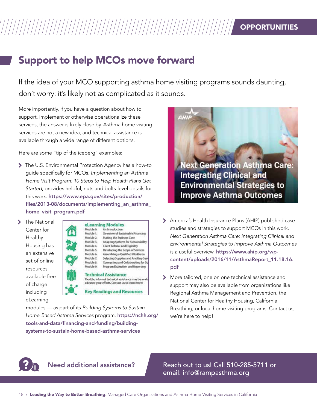## **OPPORTUNITIES**

# Support to help MCOs move forward

If the idea of your MCO supporting asthma home visiting programs sounds daunting, don't worry: it's likely not as complicated as it sounds.

More importantly, if you have a question about how to support, implement or otherwise operationalize these services, the answer is likely close by. Asthma home visiting services are not a new idea, and technical assistance is available through a wide range of different options.

Here are some "tip of the iceberg" examples:

- 7 The U.S. Environmental Protection Agency has a how-to guide specifically for MCOs. *Implementing an Asthma Home Visit Program: 10 Steps to Help Health Plans Get Started*, provides helpful, nuts and bolts-level details for this work. [https://www.epa.gov/sites/production/](https://www.epa.gov/sites/production/files/2013-08/documents/implementing_an_asthma_home_visit_program.pdf) [files/2013-08/documents/implementing\\_an\\_asthma\\_](https://www.epa.gov/sites/production/files/2013-08/documents/implementing_an_asthma_home_visit_program.pdf) [home\\_visit\\_program.pdf](https://www.epa.gov/sites/production/files/2013-08/documents/implementing_an_asthma_home_visit_program.pdf)
- > The National Center for Healthy Housing has an extensive set of online resources available free of charge including eLearning



modules — as part of its *Building Systems to Sustain Home-Based Asthma Services* program. [https://nchh.org/](https://nchh.org/tools-and-data/financing-and-funding/building-systems-to-sustain-home-based-asthma-services/) [tools-and-data/financing-and-funding/building](https://nchh.org/tools-and-data/financing-and-funding/building-systems-to-sustain-home-based-asthma-services/)[systems-to-sustain-home-based-asthma-services](https://nchh.org/tools-and-data/financing-and-funding/building-systems-to-sustain-home-based-asthma-services/)



- 7 America's Health Insurance Plans (AHIP) published case studies and strategies to support MCOs in this work. *Next Generation Asthma Care: Integrating Clinical and Environmental Strategies to Improve Asthma Outcomes* is a useful overview. [https://www.ahip.org/wp](https://www.ahip.org/wp-content/uploads/2016/11/AsthmaReport_11.18.16.pdf)[content/uploads/2016/11/AsthmaReport\\_11.18.16.](https://www.ahip.org/wp-content/uploads/2016/11/AsthmaReport_11.18.16.pdf) [pdf](https://www.ahip.org/wp-content/uploads/2016/11/AsthmaReport_11.18.16.pdf)
- > More tailored, one on one technical assistance and support may also be available from organizations like Regional Asthma Management and Prevention, the National Center for Healthy Housing, California Breathing, or local home visiting programs. Contact us; we're here to help!

Need additional assistance? A Reach out to us! Call 510-285-5711 or email: info@rampasthma.org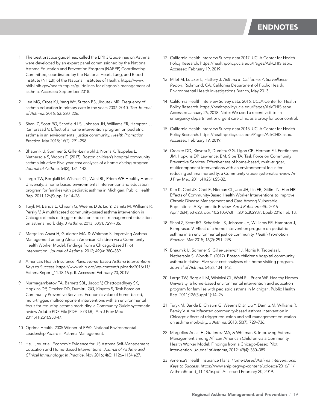- 1 The best practice guidelines, called the EPR 3 Guidelines on Asthma, were developed by an expert panel commissioned by the National Asthma Education and Prevention Program (NAEPP) Coordinating Committee, coordinated by the National Heart, Lung, and Blood Institute (NHLBI) of the National Institutes of Health. [https://www.](https://www.nhlbi.nih.gov/health-topics/guidelines-for-diagnosis-management-of-asthma) [nhlbi.nih.gov/health-topics/guidelines-for-diagnosis-management-of](https://www.nhlbi.nih.gov/health-topics/guidelines-for-diagnosis-management-of-asthma)[asthma.](https://www.nhlbi.nih.gov/health-topics/guidelines-for-diagnosis-management-of-asthma) Accessed September 2018.
- 2 Lee MG, Cross KJ, Yang WY, Sutton BS, Jiroutek MR. Frequency of asthma education in primary care in the years 2007–2010. *The Journal of Asthma*. 2016; 53: 220–226.
- 3 Shani Z, Scott RG, Schofield LS, Johnson JH, Williams ER, Hampton J, Ramprasad V. Effect of a home intervention program on pediatric asthma in an environmental justice community. *Health Promotion Practice*. Mar 2015; 16(2): 291–298.
- 4 Bhaumik U, Sommer S, Giller-Leinwohl J, Norris K, Tsopelas L, Nethersole S, Woods E. (2017). Boston children's hospital community asthma initiative: Five-year cost analyses of a home visiting program. *Journal of Asthma*, 54(2), 134–142.
- 5 Largo TW, Borgialli M, Wisinksi CL, Wahl RL, Priem WF. Healthy Homes University: a home-based environmental intervention and education program for families with pediatric asthma in Michigan. Public Health Rep. 2011;126(Suppl 1): 14–26.
- 6 Turyk M, Banda E, Chisum G, Weems D Jr, Liu Y, Damitz M, Williams R, Persky V. A multifaceted community-based asthma intervention in Chicago: effects of trigger reduction and self-management education on asthma morbidity. *J Asthma*, 2013; 50(7): 729–736.
- 7 Margellos-Anast H, Gutierrez MA, & Whitman S. Improving Asthma Management among African-American Children via a Community Health Worker Model: Findings from a Chicago-Based Pilot Intervention. *Journal of Asthma*, 2012; 49(4): 380–389.
- 8 America's Health Insurance Plans. *Home-Based Asthma Interventions: Keys to Success*. [https://www.ahip.org/wp-content/uploads/2016/11/](https://www.ahip.org/wp-content/uploads/2016/11/AsthmaReport_11.18.16.pdf) [AsthmaReport\\_11.18.16.pdf.](https://www.ahip.org/wp-content/uploads/2016/11/AsthmaReport_11.18.16.pdf) Accessed February 20, 2019.
- 9 Nurmagambetov TA, Barnett SBL, Jacob V, Chattopadhyay SK, Hopkins DP, Crocker DD, Dumitru GG, Kinyota S, Task Force on Community Preventive Services. Economic value of home-based, multi-trigger, multicomponent interventions with an environmental focus for reducing asthma morbidity: a Community Guide systematic review Adobe PDF File [PDF - 873 kB]. Am J Prev Med 2011;41(2S1):S33-47.
- 10 Optima Health: 2005 Winner of EPA's National Environmental Leadership Award in Asthma Management.
- 11 Hsu, Joy, et al. Economic Evidence for US Asthma Self-Management Education and Home-Based Interventions. *Journal of Asthma and Clinical Immunology: In Practice*. Nov 2016; 4(6): 1126–1134.e27.
- 12 California Health Interview Survey data.2017. UCLA Center for Health Policy Research. <https://healthpolicy.ucla.edu/Pages/AskCHIS.aspx>. Accessed February 19, 2019.
- 13 Milet M, Lutzker L, Flattery J. *Asthma in California: A Surveillance Report*. Richmond, CA: California Department of Public Health, Environmental Health Investigations Branch, May 2013.
- 14 California Health Interview Survey data. 2016. UCLA Center for Health Policy Research. <https://healthpolicy.ucla.edu/Pages/AskCHIS.aspx>. Accessed January 26, 2018. Note: We used a recent visit to an emergency department or urgent care clinic as a proxy for poor control.
- 15 California Health Interview Survey data.2015. UCLA Center for Health Policy Research. <https://healthpolicy.ucla.edu/Pages/AskCHIS.aspx>. Accessed February 19, 2019.
- 16 Crocker DD, Kinyota S, Dumitru GG, Ligon CB, Herman EJ, Ferdinands JM, Hopkins DP, Lawrence, BM, Sipe TA, Task Force on Community Preventive Services. Effectiveness of home-based, multi-trigger, multicomponent interventions with an environmental focus for reducing asthma morbidity: a Community Guide systematic review Am J Prev Med 2011;41(2S1):S5-32.
- 17 Kim K, Choi JS, Choi E, Nieman CL, Joo JH, Lin FR, Gitlin LN, Han HR. Effects of Community-Based Health Worker Interventions to Improve Chronic Disease Management and Care Among Vulnerable Populations: A Systematic Review. *Am J Public Health*. 2016 Apr;106(4):e3-e28. doi: 10.2105/AJPH.2015.302987. Epub 2016 Feb 18.
- 18 Shani Z, Scott RG, Schofield LS, Johnson JH, Williams ER, Hampton J, Ramprasad V. Effect of a home intervention program on pediatric asthma in an environmental justice community. *Health Promotion Practice*. Mar 2015; 16(2): 291–298.
- 19 Bhaumik U, Sommer S, Giller-Leinwohl J, Norris K, Tsopelas L, Nethersole S, Woods E. (2017). Boston children's hospital community asthma initiative: Five-year cost analyses of a home visiting program. *Journal of Asthma*, 54(2), 134–142.
- 20 Largo TW, Borgialli M, Wisinksi CL, Wahl RL, Priem WF. Healthy Homes University: a home-based environmental intervention and education program for families with pediatric asthma in Michigan. Public Health Rep. 2011;126(Suppl 1):14–26.
- 21 Turyk M, Banda E, Chisum G, Weems D Jr, Liu Y, Damitz M, Williams R, Persky V. A multifaceted community-based asthma intervention in Chicago: effects of trigger reduction and self-management education on asthma morbidity. *J Asthma*, 2013; 50(7): 729–736.
- 22 Margellos-Anast H, Gutierrez MA, & Whitman S. Improving Asthma Management among African-American Children via a Community Health Worker Model: Findings from a Chicago-Based Pilot Intervention. *Journal of Asthma*, 2012; 49(4): 380–389.
- 23 America's Health Insurance Plans. *Home-Based Asthma Interventions: Keys to Success*. [https://www.ahip.org/wp-content/uploads/2016/11/](https://www.ahip.org/wp-content/uploads/2016/11/AsthmaReport_11.18.16.pdf) [AsthmaReport\\_11.18.16.pdf.](https://www.ahip.org/wp-content/uploads/2016/11/AsthmaReport_11.18.16.pdf) Accessed February 20, 2019.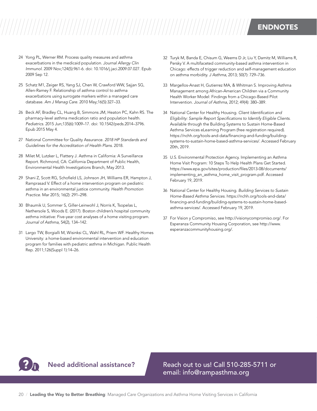24 Yong PL, Werner RM. Process quality measures and asthma exacerbations in the medicaid population. *Journal Allergy Clin Immunol*. 2009 Nov;124(5):961-6. doi: 10.1016/j.jaci.2009.07.027. Epub 2009 Sep 12.

- 25 Schatz M1, Zeiger RS, Yang SJ, Chen W, Crawford WW, Sajjan SG, Allen-Ramey F. Relationship of asthma control to asthma exacerbations using surrogate markers within a managed care database. *Am J Manag Care*. 2010 May;16(5):327–33.
- 26 Beck AF, Bradley CL, Huang B, Simmons JM, Heaton PC, Kahn RS. The pharmacy-level asthma medication ratio and population health. *Pediatrics*. 2015 Jun;135(6):1009–17. doi: 10.1542/peds.2014–3796. Epub 2015 May 4.
- 27 National Committee for Quality Assurance. *2018 HP Standards and Guidelines for the Accreditation of Health Plans*. 2018.
- 28 Milet M, Lutzker L, Flattery J. Asthma in California: A Surveillance Report. Richmond, CA: California Department of Public Health, Environmental Health Investigations Branch, May 2013.
- 29 Shani Z, Scott RG, Schofield LS, Johnson JH, Williams ER, Hampton J, Ramprasad V. Effect of a home intervention program on pediatric asthma in an environmental justice community. *Health Promotion Practice*. Mar 2015; 16(2): 291–298.
- 30 Bhaumik U, Sommer S, Giller-Leinwohl J, Norris K, Tsopelas L, Nethersole S, Woods E. (2017). Boston children's hospital community asthma initiative: Five-year cost analyses of a home visiting program. *Journal of Asthma*, 54(2), 134–142.
- 31 Largo TW, Borgialli M, Wisinksi CL, Wahl RL, Priem WF. Healthy Homes University: a home-based environmental intervention and education program for families with pediatric asthma in Michigan. Public Health Rep. 2011;126(Suppl 1):14–26.
- 32 Turyk M, Banda E, Chisum G, Weems D Jr, Liu Y, Damitz M, Williams R, Persky V. A multifaceted community-based asthma intervention in Chicago: effects of trigger reduction and self-management education on asthma morbidity. *J Asthma*, 2013; 50(7): 729–736.
- 33 Margellos-Anast H, Gutierrez MA, & Whitman S. Improving Asthma Management among African-American Children via a Community Health Worker Model: Findings from a Chicago-Based Pilot Intervention. *Journal of Asthma*, 2012; 49(4): 380–389.
- 34 National Center for Healthy Housing. *Client Identification and Eligibility: Sample Report Specifications to Identify Eligible Clients*. Available through the Building Systems to Sustain Home-Based Asthma Services eLearning Program (free registration required). [https://nchh.org/tools-and-data/financing-and-funding/building](https://nchh.org/tools-and-data/financing-and-funding/building-systems-to-sustain-home-based-asthma-services/)[systems-to-sustain-home-based-asthma-services/](https://nchh.org/tools-and-data/financing-and-funding/building-systems-to-sustain-home-based-asthma-services/). Accessed February 20th, 2019.
- 35 U.S. Environmental Protection Agency. Implementing an Asthma Home Visit Program: 10 Steps To Help Health Plans Get Started. [https://www.epa.gov/sites/production/files/2013-08/documents/](https://www.epa.gov/sites/production/files/2013-08/documents/implementing_an_asthma_home_visit_program.pdf) [implementing\\_an\\_asthma\\_home\\_visit\\_program.pdf.](https://www.epa.gov/sites/production/files/2013-08/documents/implementing_an_asthma_home_visit_program.pdf) Accessed February 19, 2019.
- 36 National Center for Healthy Housing. *Building Services to Sustain Home-Based Asthma Services*. [https://nchh.org/tools-and-data/](https://nchh.org/tools-and-data/financing-and-funding/building-systems-to-sustain-home-based-asthma-services/) [financing-and-funding/building-systems-to-sustain-home-based](https://nchh.org/tools-and-data/financing-and-funding/building-systems-to-sustain-home-based-asthma-services/)[asthma-services/.](https://nchh.org/tools-and-data/financing-and-funding/building-systems-to-sustain-home-based-asthma-services/) Accessed February 19, 2019.
- 37 For Vision y Compromiso, see http://visionycompromiso.org/. For Esperanza Community Housing Corporation, see [http://www.](http://www.esperanzacommunityhousing.org/) [esperanzacommunityhousing.org/](http://www.esperanzacommunityhousing.org/).

Need additional assistance? Reach out to us! Call 510-285-5711 or email: info@rampasthma.org